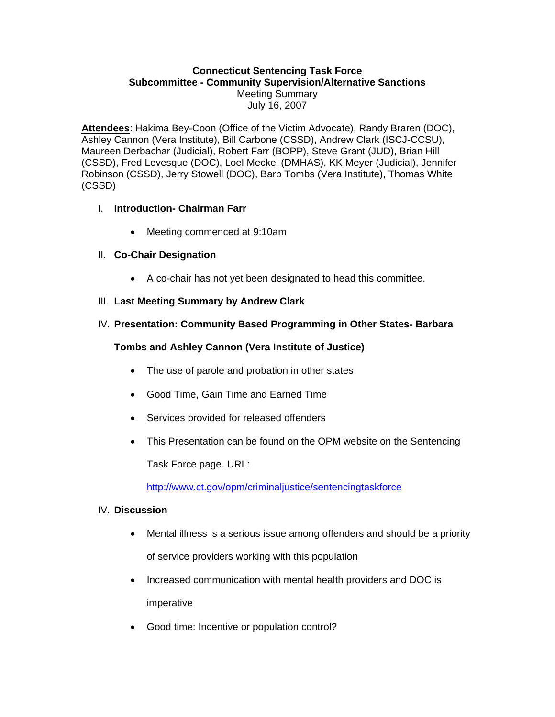#### **Connecticut Sentencing Task Force Subcommittee - Community Supervision/Alternative Sanctions**  Meeting Summary July 16, 2007

**Attendees**: Hakima Bey-Coon (Office of the Victim Advocate), Randy Braren (DOC), Ashley Cannon (Vera Institute), Bill Carbone (CSSD), Andrew Clark (ISCJ-CCSU), Maureen Derbachar (Judicial), Robert Farr (BOPP), Steve Grant (JUD), Brian Hill (CSSD), Fred Levesque (DOC), Loel Meckel (DMHAS), KK Meyer (Judicial), Jennifer Robinson (CSSD), Jerry Stowell (DOC), Barb Tombs (Vera Institute), Thomas White (CSSD)

## I. **Introduction- Chairman Farr**

- Meeting commenced at 9:10am
- II. **Co-Chair Designation** 
	- A co-chair has not yet been designated to head this committee.

## III. **Last Meeting Summary by Andrew Clark**

## IV. **Presentation: Community Based Programming in Other States- Barbara**

## **Tombs and Ashley Cannon (Vera Institute of Justice)**

- The use of parole and probation in other states
- Good Time, Gain Time and Earned Time
- Services provided for released offenders
- This Presentation can be found on the OPM website on the Sentencing

Task Force page. URL:

<http://www.ct.gov/opm/criminaljustice/sentencingtaskforce>

#### IV. **Discussion**

- Mental illness is a serious issue among offenders and should be a priority of service providers working with this population
- Increased communication with mental health providers and DOC is imperative
- Good time: Incentive or population control?